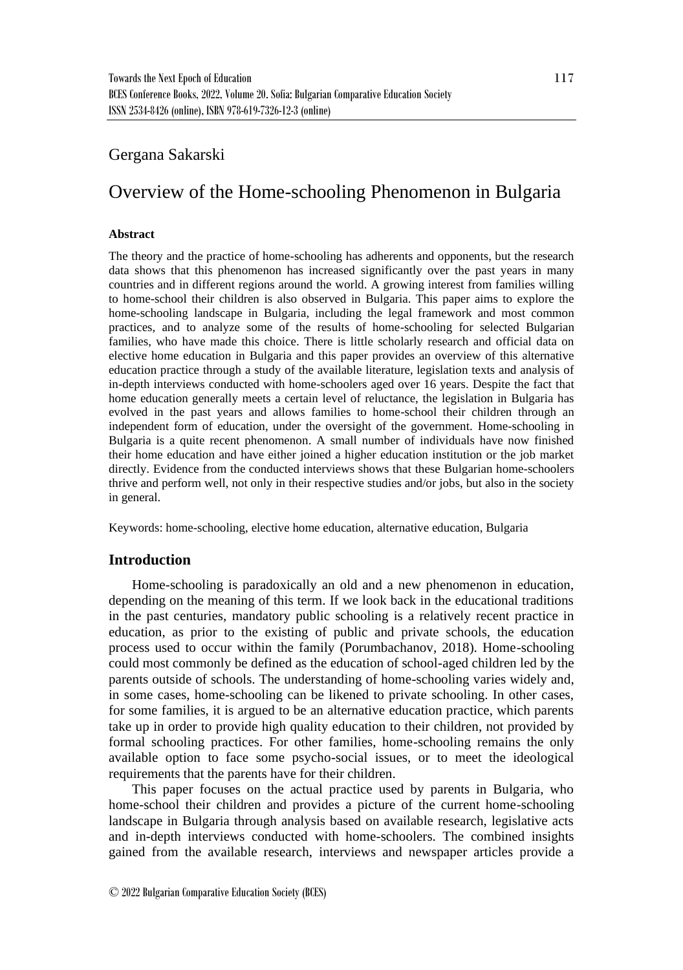## Gergana Sakarski

# Overview of the Home-schooling Phenomenon in Bulgaria

### **Abstract**

The theory and the practice of home-schooling has adherents and opponents, but the research data shows that this phenomenon has increased significantly over the past years in many countries and in different regions around the world. A growing interest from families willing to home-school their children is also observed in Bulgaria. This paper aims to explore the home-schooling landscape in Bulgaria, including the legal framework and most common practices, and to analyze some of the results of home-schooling for selected Bulgarian families, who have made this choice. There is little scholarly research and official data on elective home education in Bulgaria and this paper provides an overview of this alternative education practice through a study of the available literature, legislation texts and analysis of in-depth interviews conducted with home-schoolers aged over 16 years. Despite the fact that home education generally meets a certain level of reluctance, the legislation in Bulgaria has evolved in the past years and allows families to home-school their children through an independent form of education, under the oversight of the government. Home-schooling in Bulgaria is a quite recent phenomenon. A small number of individuals have now finished their home education and have either joined a higher education institution or the job market directly. Evidence from the conducted interviews shows that these Bulgarian home-schoolers thrive and perform well, not only in their respective studies and/or jobs, but also in the society in general.

Keywords: home-schooling, elective home education, alternative education, Bulgaria

## **Introduction**

Home-schooling is paradoxically an old and a new phenomenon in education, depending on the meaning of this term. If we look back in the educational traditions in the past centuries, mandatory public schooling is a relatively recent practice in education, as prior to the existing of public and private schools, the education process used to occur within the family (Porumbachanov, 2018). Home-schooling could most commonly be defined as the education of school-aged children led by the parents outside of schools. The understanding of home-schooling varies widely and, in some cases, home-schooling can be likened to private schooling. In other cases, for some families, it is argued to be an alternative education practice, which parents take up in order to provide high quality education to their children, not provided by formal schooling practices. For other families, home-schooling remains the only available option to face some psycho-social issues, or to meet the ideological requirements that the parents have for their children.

This paper focuses on the actual practice used by parents in Bulgaria, who home-school their children and provides a picture of the current home-schooling landscape in Bulgaria through analysis based on available research, legislative acts and in-depth interviews conducted with home-schoolers. The combined insights gained from the available research, interviews and newspaper articles provide a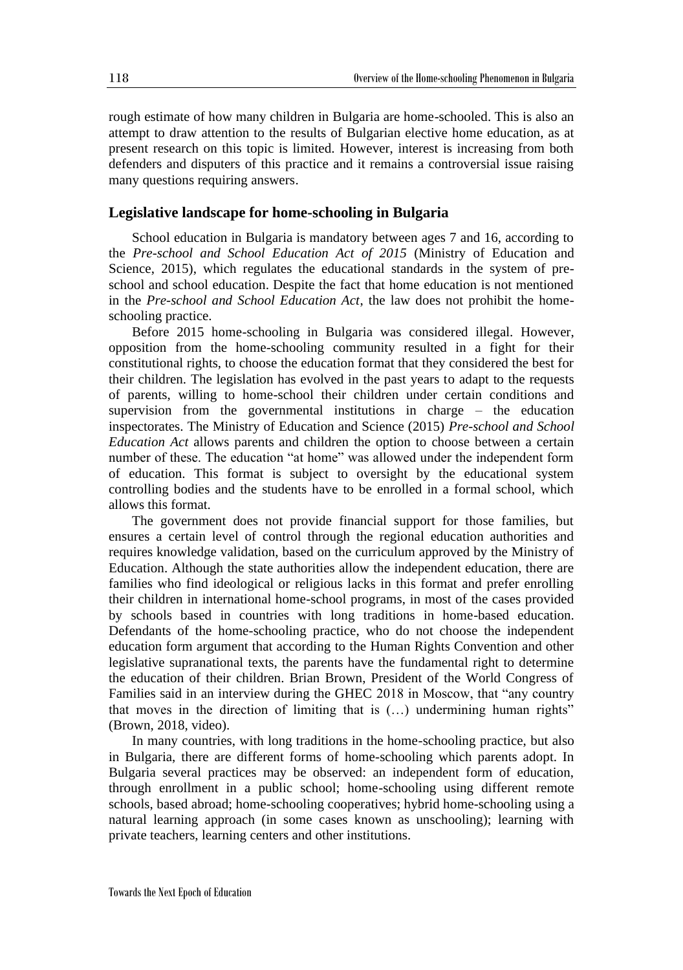rough estimate of how many children in Bulgaria are home-schooled. This is also an attempt to draw attention to the results of Bulgarian elective home education, as at present research on this topic is limited. However, interest is increasing from both defenders and disputers of this practice and it remains a controversial issue raising many questions requiring answers.

#### **Legislative landscape for home-schooling in Bulgaria**

School education in Bulgaria is mandatory between ages 7 and 16, according to the *Pre-school and School Education Act of 2015* (Ministry of Education and Science, 2015), which regulates the educational standards in the system of preschool and school education. Despite the fact that home education is not mentioned in the *Pre-school and School Education Act*, the law does not prohibit the homeschooling practice.

Before 2015 home-schooling in Bulgaria was considered illegal. However, opposition from the home-schooling community resulted in a fight for their constitutional rights, to choose the education format that they considered the best for their children. The legislation has evolved in the past years to adapt to the requests of parents, willing to home-school their children under certain conditions and supervision from the governmental institutions in charge – the education inspectorates. The Ministry of Education and Science (2015) *Pre-school and School Education Act* allows parents and children the option to choose between a certain number of these. The education "at home" was allowed under the independent form of education. This format is subject to oversight by the educational system controlling bodies and the students have to be enrolled in a formal school, which allows this format.

The government does not provide financial support for those families, but ensures a certain level of control through the regional education authorities and requires knowledge validation, based on the curriculum approved by the Ministry of Education. Although the state authorities allow the independent education, there are families who find ideological or religious lacks in this format and prefer enrolling their children in international home-school programs, in most of the cases provided by schools based in countries with long traditions in home-based education. Defendants of the home-schooling practice, who do not choose the independent education form argument that according to the Human Rights Convention and other legislative supranational texts, the parents have the fundamental right to determine the education of their children. Brian Brown, President of the World Congress of Families said in an interview during the GHEC 2018 in Moscow, that "any country that moves in the direction of limiting that is (…) undermining human rights" (Brown, 2018, video).

In many countries, with long traditions in the home-schooling practice, but also in Bulgaria, there are different forms of home-schooling which parents adopt. In Bulgaria several practices may be observed: an independent form of education, through enrollment in a public school; home-schooling using different remote schools, based abroad; home-schooling cooperatives; hybrid home-schooling using a natural learning approach (in some cases known as unschooling); learning with private teachers, learning centers and other institutions.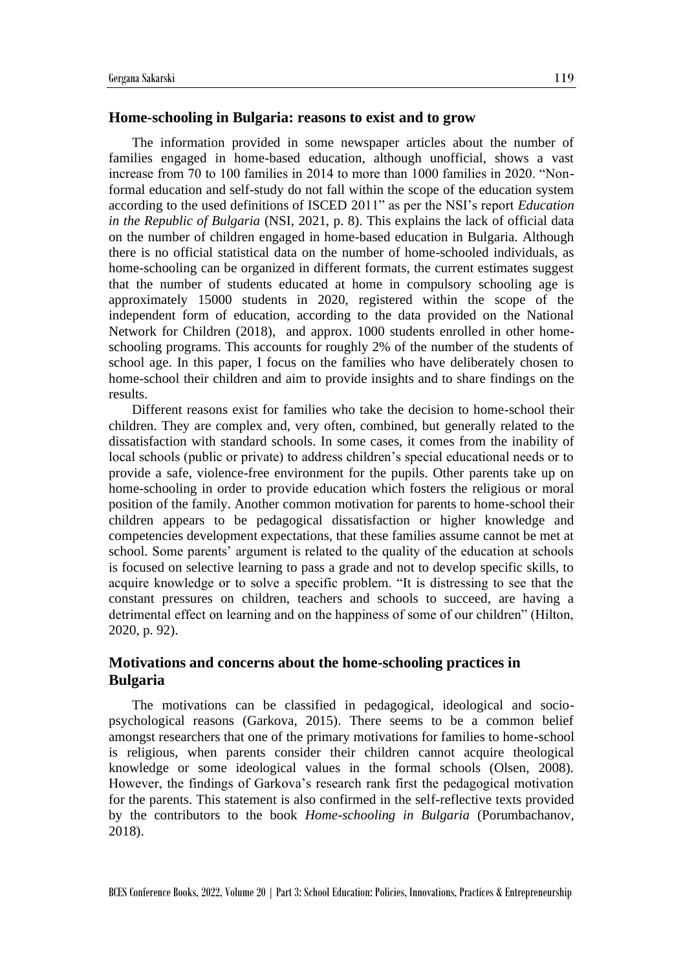## **Home-schooling in Bulgaria: reasons to exist and to grow**

The information provided in some newspaper articles about the number of families engaged in home-based education, although unofficial, shows a vast increase from 70 to 100 families in 2014 to more than 1000 families in 2020. "Nonformal education and self-study do not fall within the scope of the education system according to the used definitions of ISCED 2011" as per the NSI's report *Education in the Republic of Bulgaria* (NSI, 2021, p. 8). This explains the lack of official data on the number of children engaged in home-based education in Bulgaria. Although there is no official statistical data on the number of home-schooled individuals, as home-schooling can be organized in different formats, the current estimates suggest that the number of students educated at home in compulsory schooling age is approximately 15000 students in 2020, registered within the scope of the independent form of education, according to the data provided on the National Network for Children (2018), and approx. 1000 students enrolled in other homeschooling programs. This accounts for roughly 2% of the number of the students of school age. In this paper, I focus on the families who have deliberately chosen to home-school their children and aim to provide insights and to share findings on the results.

Different reasons exist for families who take the decision to home-school their children. They are complex and, very often, combined, but generally related to the dissatisfaction with standard schools. In some cases, it comes from the inability of local schools (public or private) to address children's special educational needs or to provide a safe, violence-free environment for the pupils. Other parents take up on home-schooling in order to provide education which fosters the religious or moral position of the family. Another common motivation for parents to home-school their children appears to be pedagogical dissatisfaction or higher knowledge and competencies development expectations, that these families assume cannot be met at school. Some parents' argument is related to the quality of the education at schools is focused on selective learning to pass a grade and not to develop specific skills, to acquire knowledge or to solve a specific problem. "It is distressing to see that the constant pressures on children, teachers and schools to succeed, are having a detrimental effect on learning and on the happiness of some of our children" (Hilton, 2020, p. 92).

## **Motivations and concerns about the home-schooling practices in Bulgaria**

The motivations can be classified in pedagogical, ideological and sociopsychological reasons (Garkova, 2015). There seems to be a common belief amongst researchers that one of the primary motivations for families to home-school is religious, when parents consider their children cannot acquire theological knowledge or some ideological values in the formal schools (Olsen, 2008). However, the findings of Garkova's research rank first the pedagogical motivation for the parents. This statement is also confirmed in the self-reflective texts provided by the contributors to the book *Home-schooling in Bulgaria* (Porumbachanov, 2018).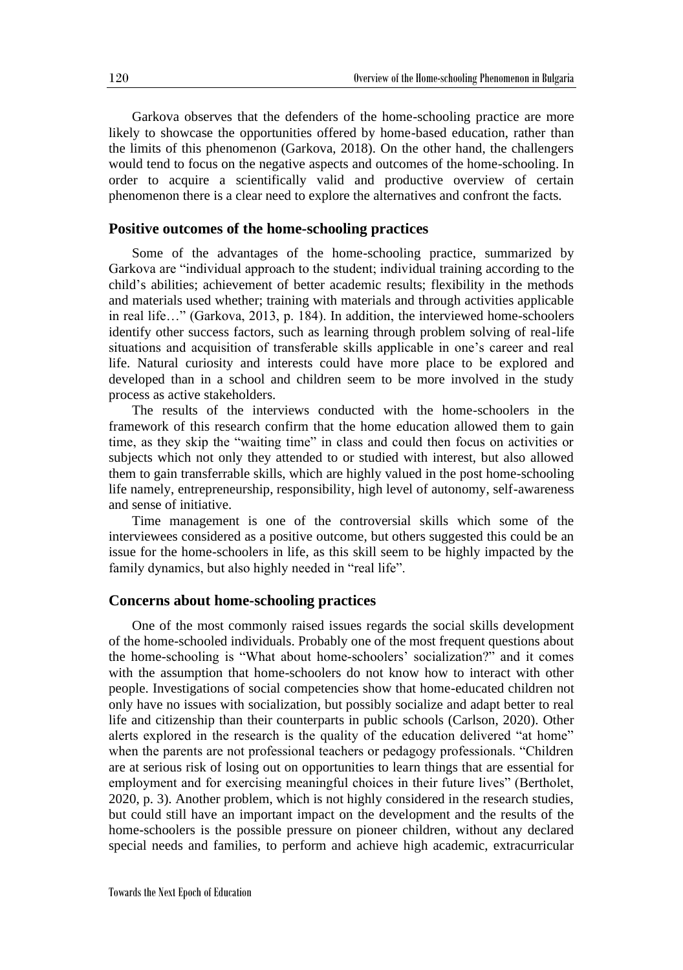Garkova observes that the defenders of the home-schooling practice are more likely to showcase the opportunities offered by home-based education, rather than the limits of this phenomenon (Garkova, 2018). On the other hand, the challengers would tend to focus on the negative aspects and outcomes of the home-schooling. In order to acquire a scientifically valid and productive overview of certain phenomenon there is a clear need to explore the alternatives and confront the facts.

### **Positive outcomes of the home-schooling practices**

Some of the advantages of the home-schooling practice, summarized by Garkova are "individual approach to the student; individual training according to the child's abilities; achievement of better academic results; flexibility in the methods and materials used whether; training with materials and through activities applicable in real life…" (Garkova, 2013, p. 184). In addition, the interviewed home-schoolers identify other success factors, such as learning through problem solving of real-life situations and acquisition of transferable skills applicable in one's career and real life. Natural curiosity and interests could have more place to be explored and developed than in a school and children seem to be more involved in the study process as active stakeholders.

The results of the interviews conducted with the home-schoolers in the framework of this research confirm that the home education allowed them to gain time, as they skip the "waiting time" in class and could then focus on activities or subjects which not only they attended to or studied with interest, but also allowed them to gain transferrable skills, which are highly valued in the post home-schooling life namely, entrepreneurship, responsibility, high level of autonomy, self-awareness and sense of initiative.

Time management is one of the controversial skills which some of the interviewees considered as a positive outcome, but others suggested this could be an issue for the home-schoolers in life, as this skill seem to be highly impacted by the family dynamics, but also highly needed in "real life".

#### **Concerns about home-schooling practices**

One of the most commonly raised issues regards the social skills development of the home-schooled individuals. Probably one of the most frequent questions about the home-schooling is "What about home-schoolers' socialization?" and it comes with the assumption that home-schoolers do not know how to interact with other people. Investigations of social competencies show that home-educated children not only have no issues with socialization, but possibly socialize and adapt better to real life and citizenship than their counterparts in public schools (Carlson, 2020). Other alerts explored in the research is the quality of the education delivered "at home" when the parents are not professional teachers or pedagogy professionals. "Children are at serious risk of losing out on opportunities to learn things that are essential for employment and for exercising meaningful choices in their future lives" (Bertholet, 2020, p. 3). Another problem, which is not highly considered in the research studies, but could still have an important impact on the development and the results of the home-schoolers is the possible pressure on pioneer children, without any declared special needs and families, to perform and achieve high academic, extracurricular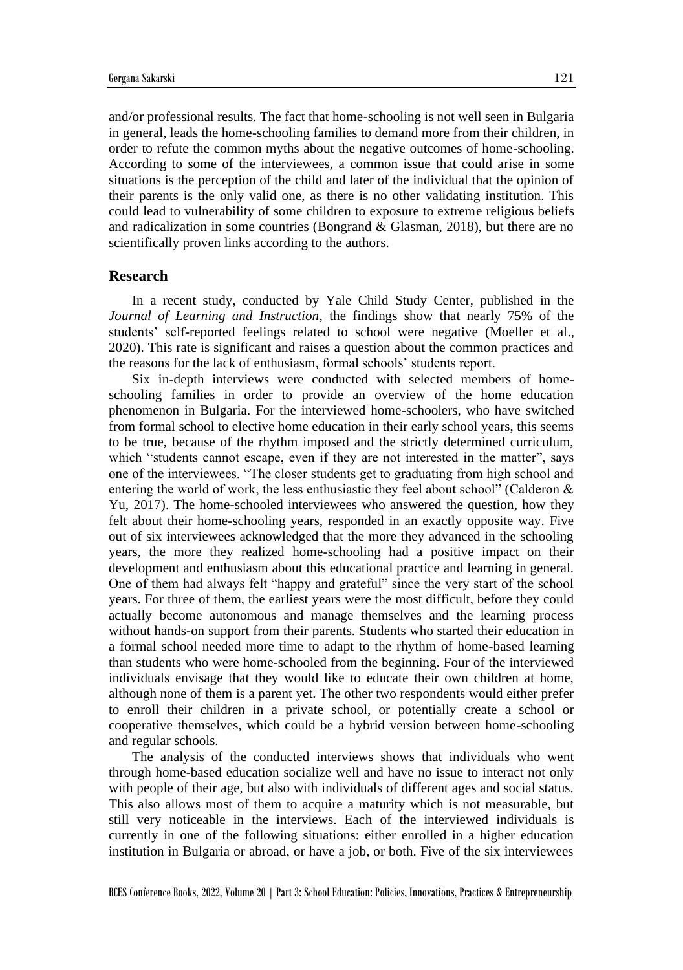and/or professional results. The fact that home-schooling is not well seen in Bulgaria in general, leads the home-schooling families to demand more from their children, in order to refute the common myths about the negative outcomes of home-schooling. According to some of the interviewees, a common issue that could arise in some situations is the perception of the child and later of the individual that the opinion of their parents is the only valid one, as there is no other validating institution. This could lead to vulnerability of some children to exposure to extreme religious beliefs and radicalization in some countries (Bongrand  $\&$  Glasman, 2018), but there are no scientifically proven links according to the authors.

#### **Research**

In a recent study, conducted by Yale Child Study Center, published in the *Journal of Learning and Instruction*, the findings show that nearly 75% of the students' self-reported feelings related to school were negative (Moeller et al., 2020). This rate is significant and raises a question about the common practices and the reasons for the lack of enthusiasm, formal schools' students report.

Six in-depth interviews were conducted with selected members of homeschooling families in order to provide an overview of the home education phenomenon in Bulgaria. For the interviewed home-schoolers, who have switched from formal school to elective home education in their early school years, this seems to be true, because of the rhythm imposed and the strictly determined curriculum, which "students cannot escape, even if they are not interested in the matter", says one of the interviewees. "The closer students get to graduating from high school and entering the world of work, the less enthusiastic they feel about school" (Calderon & Yu, 2017). The home-schooled interviewees who answered the question, how they felt about their home-schooling years, responded in an exactly opposite way. Five out of six interviewees acknowledged that the more they advanced in the schooling years, the more they realized home-schooling had a positive impact on their development and enthusiasm about this educational practice and learning in general. One of them had always felt "happy and grateful" since the very start of the school years. For three of them, the earliest years were the most difficult, before they could actually become autonomous and manage themselves and the learning process without hands-on support from their parents. Students who started their education in a formal school needed more time to adapt to the rhythm of home-based learning than students who were home-schooled from the beginning. Four of the interviewed individuals envisage that they would like to educate their own children at home, although none of them is a parent yet. The other two respondents would either prefer to enroll their children in a private school, or potentially create a school or cooperative themselves, which could be a hybrid version between home-schooling and regular schools.

The analysis of the conducted interviews shows that individuals who went through home-based education socialize well and have no issue to interact not only with people of their age, but also with individuals of different ages and social status. This also allows most of them to acquire a maturity which is not measurable, but still very noticeable in the interviews. Each of the interviewed individuals is currently in one of the following situations: either enrolled in a higher education institution in Bulgaria or abroad, or have a job, or both. Five of the six interviewees

BCES Conference Books, 2022, Volume 20 | Part 3: School Education: Policies, Innovations, Practices & Entrepreneurship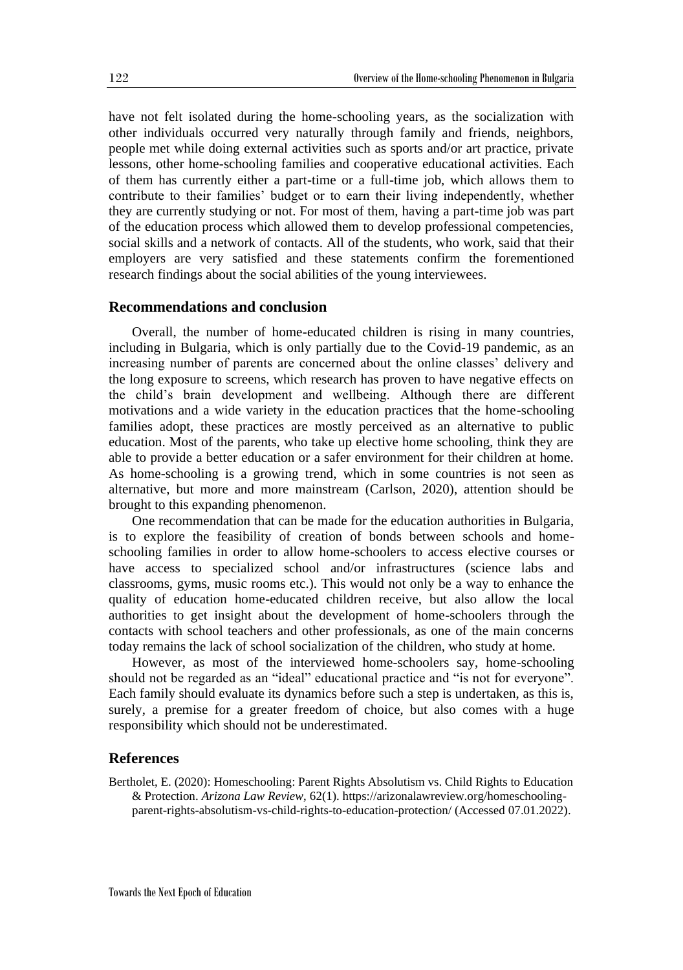have not felt isolated during the home-schooling years, as the socialization with other individuals occurred very naturally through family and friends, neighbors, people met while doing external activities such as sports and/or art practice, private lessons, other home-schooling families and cooperative educational activities. Each of them has currently either a part-time or a full-time job, which allows them to contribute to their families' budget or to earn their living independently, whether they are currently studying or not. For most of them, having a part-time job was part of the education process which allowed them to develop professional competencies, social skills and a network of contacts. All of the students, who work, said that their employers are very satisfied and these statements confirm the forementioned research findings about the social abilities of the young interviewees.

## **Recommendations and conclusion**

Overall, the number of home-educated children is rising in many countries, including in Bulgaria, which is only partially due to the Covid-19 pandemic, as an increasing number of parents are concerned about the online classes' delivery and the long exposure to screens, which research has proven to have negative effects on the child's brain development and wellbeing. Although there are different motivations and a wide variety in the education practices that the home-schooling families adopt, these practices are mostly perceived as an alternative to public education. Most of the parents, who take up elective home schooling, think they are able to provide a better education or a safer environment for their children at home. As home-schooling is a growing trend, which in some countries is not seen as alternative, but more and more mainstream (Carlson, 2020), attention should be brought to this expanding phenomenon.

One recommendation that can be made for the education authorities in Bulgaria, is to explore the feasibility of creation of bonds between schools and homeschooling families in order to allow home-schoolers to access elective courses or have access to specialized school and/or infrastructures (science labs and classrooms, gyms, music rooms etc.). This would not only be a way to enhance the quality of education home-educated children receive, but also allow the local authorities to get insight about the development of home-schoolers through the contacts with school teachers and other professionals, as one of the main concerns today remains the lack of school socialization of the children, who study at home.

However, as most of the interviewed home-schoolers say, home-schooling should not be regarded as an "ideal" educational practice and "is not for everyone". Each family should evaluate its dynamics before such a step is undertaken, as this is, surely, a premise for a greater freedom of choice, but also comes with a huge responsibility which should not be underestimated.

## **References**

Bertholet, E. (2020): Homeschooling: Parent Rights Absolutism vs. Child Rights to Education & Protection. *Arizona Law Review*, 62(1). https://arizonalawreview.org/homeschoolingparent-rights-absolutism-vs-child-rights-to-education-protection/ (Accessed 07.01.2022).